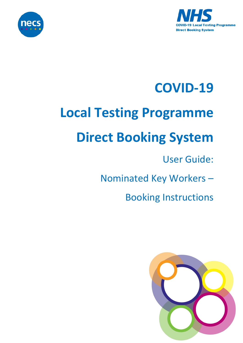



### **COVID-19**

# **Local Testing Programme**

## **Direct Booking System**

#### User Guide:

Nominated Key Workers –

Booking Instructions

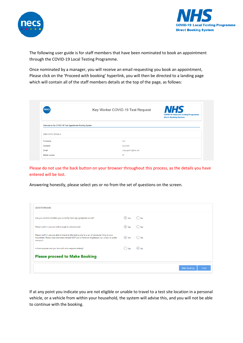



The following user guide is for staff members that have been nominated to book an appointment through the COVID-19 Local Testing Programme.

Once nominated by a manager, you will receive an email requesting you book an appointment, Please click on the 'Proceed with booking' hyperlink, you will then be directed to a landing page which will contain all of the staff members details at the top of the page, as follows:

| necs                                                     | Key Worker COVID-19 Test Request | <b>NHS</b><br><b>COVID-19 National Testing Programme</b><br><b>Direct Booking System</b> |
|----------------------------------------------------------|----------------------------------|------------------------------------------------------------------------------------------|
| Welcome to the COVID-19 Test Appointment Booking System. |                                  |                                                                                          |
|                                                          |                                  |                                                                                          |
| <b>EMPLOYEE DETAILS</b>                                  |                                  |                                                                                          |
| Forename                                                 | test                             |                                                                                          |
| Sumame                                                   | account5                         |                                                                                          |
| Email                                                    | craig.gunn1@nhs.net              |                                                                                          |

Please do not use the back button on your browser throughout this process, as the details you have entered will be lost.

Answering honestly, please select yes or no from the set of questions on the screen.

| <b>OUESTIONNAIRE</b>                                                                                                                                                                                        |                              |                           |              |              |
|-------------------------------------------------------------------------------------------------------------------------------------------------------------------------------------------------------------|------------------------------|---------------------------|--------------|--------------|
| Can you confirm whether you currently have any symptoms or not?                                                                                                                                             | $\odot$ Yes                  | $()$ No                   |              |              |
| Please confirm you are well enough to attend a test                                                                                                                                                         | $\left(\bullet\right)$ Yes   | $()$ No                   |              |              |
| Please confirm you are able to travel to the testing site in a car of someone living in your<br>household. Please note attendees should NOT use a friend or neighbours car, a taxi, or public<br>transport. | $\left( \bullet \right)$ Yes | $()$ No                   |              |              |
| Is there anyone else you live with who requires testing?                                                                                                                                                    | ) Yes                        | $\left(\bullet\right)$ No |              |              |
| <b>Please proceed to Make Booking</b>                                                                                                                                                                       |                              |                           |              |              |
|                                                                                                                                                                                                             |                              |                           | Make booking | <b>Close</b> |

If at any point you indicate you are not eligible or unable to travel to a test site location in a personal vehicle, or a vehicle from within your household, the system will advise this, and you will not be able to continue with the booking.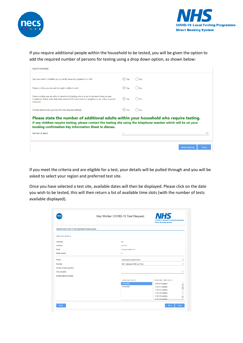



If you require additional people within the household to be tested, you will be given the option to add the required number of persons for testing using a drop down option, as shown below:

| <b>OUESTIONNAIRE</b>                                                                                                                                                                                                                                                   |               |                       |
|------------------------------------------------------------------------------------------------------------------------------------------------------------------------------------------------------------------------------------------------------------------------|---------------|-----------------------|
| Can you confirm whether you currently have any symptoms or not?                                                                                                                                                                                                        | $\bullet$ Yes | ( ) No                |
| Please confirm you are well enough to attend a test                                                                                                                                                                                                                    | $\odot$ Yes   | ()No                  |
| Please confirm you are able to travel to the testing site in a car of someone living in your<br>household. Please note attendees should NOT use a friend or neighbours car, a taxi, or public<br>transport.                                                            | $\bullet$ Yes | $()$ No               |
| Is there anyone else you live with who requires testing?                                                                                                                                                                                                               | $\bullet$ Yes | $()$ No               |
| Please state the number of additional adults within your household who require testing.<br>If any children require testing, please contact the testing site using the telephone number which will be on your<br>booking confirmation Key Information Sheet to discuss. |               |                       |
| Number of adults                                                                                                                                                                                                                                                       |               |                       |
|                                                                                                                                                                                                                                                                        |               |                       |
|                                                                                                                                                                                                                                                                        |               | Make booking<br>Close |

If you meet the criteria and are eligible for a test, your details will be pulled through and you will be asked to select your region and preferred test site.

Once you have selected a test site, available dates will then be displayed. Please click on the date you wish to be tested, this will then return a list of available time slots (with the number of tests available displayed).

|                                                          | Key Worker COVID-19 Test Request | <b>NHS</b><br><b>COVID-19 National Testing Programme</b><br><b>Direct Booking System</b> |  |
|----------------------------------------------------------|----------------------------------|------------------------------------------------------------------------------------------|--|
| Welcome to the COVID-19 Test Appointment Booking System. |                                  |                                                                                          |  |
| <b>EMPLOYEE DETAILS</b>                                  |                                  |                                                                                          |  |
| Forename                                                 | test                             |                                                                                          |  |
| Surname                                                  | account5                         |                                                                                          |  |
| Email                                                    | craig.gunn1@nhs.net              |                                                                                          |  |
| Mobile number                                            | 07                               |                                                                                          |  |
| Region                                                   | North East & Cumbria (CNE)       | $\checkmark$                                                                             |  |
| <b>Test Site</b>                                         | GHI - Gateshead (IKEA Car Park)  | $\checkmark$                                                                             |  |
| Number of tests requested                                | 1                                |                                                                                          |  |
| <b>Test Availability</b>                                 |                                  | 監                                                                                        |  |
| Booking reference number                                 |                                  |                                                                                          |  |
|                                                          | <b>AVAILABLE DATES</b>           | AVAILABLE TIME SLOTS                                                                     |  |
|                                                          | 23.04.2020                       | 10:00 (27 available)                                                                     |  |
|                                                          | 24.04.2020                       | 10:30 (27 available)                                                                     |  |
|                                                          |                                  | 11:00 (24 available)                                                                     |  |
|                                                          |                                  | 11:30 (29 available)                                                                     |  |
|                                                          |                                  | 12:00 (29 available)                                                                     |  |
|                                                          |                                  | 12:30 (30 available)                                                                     |  |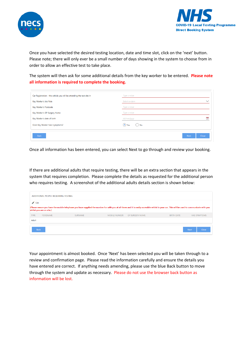



Once you have selected the desired testing location, date and time slot, click on the 'next' button. Please note; there will only ever be a small number of days showing in the system to choose from in order to allow an effective test to take place.

The system will then ask for some additional details from the key worker to be entered. **Please note all information is required to complete the booking.**

| Car Registration - the vehicle you will be attending the test site in | Type a value             |                      |
|-----------------------------------------------------------------------|--------------------------|----------------------|
| Key Worker's Job Role                                                 | Select an item           | $\checkmark$         |
| Key Worker's Postcode                                                 | Type a value             |                      |
| Key Worker's GP Surgery Name                                          | Type a value             |                      |
| Key Worker's date of birth                                            | dd/mm/yyyy               | 鱛                    |
| Does Key Worker have symptoms?                                        | $\bullet$ Yes<br>$()$ No |                      |
| <b>Back</b>                                                           |                          | Close<br><b>Next</b> |

Once all information has been entered, you can select Next to go through and review your booking.

If there are additional adults that require testing, there will be an extra section that appears in the system that requires completion. Please complete the details as requested for the additional person who requires testing. A screenshot of the additional adults details section is shown below:

|                            | ADDITIONAL PEOPLE REQUIRING TESTING |                                                                                                                                                                                               |                      |                        |                   |                             |
|----------------------------|-------------------------------------|-----------------------------------------------------------------------------------------------------------------------------------------------------------------------------------------------|----------------------|------------------------|-------------------|-----------------------------|
| $\blacktriangleright$ Edit |                                     |                                                                                                                                                                                               |                      |                        |                   |                             |
|                            | whilst you are on site.)            | (Please ensure you have the mobile telephone you have supplied the number for with you at all times and it is easily accessible whilst in your car. This will be used to communicate with you |                      |                        |                   |                             |
| <b>TYPE</b>                | <b>FORENAME</b>                     | SURNAME                                                                                                                                                                                       | <b>MOBILE NUMBER</b> | <b>GP SURGERY NAME</b> | <b>BIRTH DATE</b> | <b>HAS SYMPTOMS</b>         |
| Adult                      |                                     |                                                                                                                                                                                               |                      |                        |                   |                             |
| <b>Back</b>                |                                     |                                                                                                                                                                                               |                      |                        |                   | <b>Next</b><br><b>Close</b> |

Your appointment is almost booked. Once 'Next' has been selected you will be taken through to a review and confirmation page. Please read the information carefully and ensure the details you have entered are correct. If anything needs amending, please use the blue Back button to move through the system and update as necessary. Please do not use the browser back button as information will be lost.